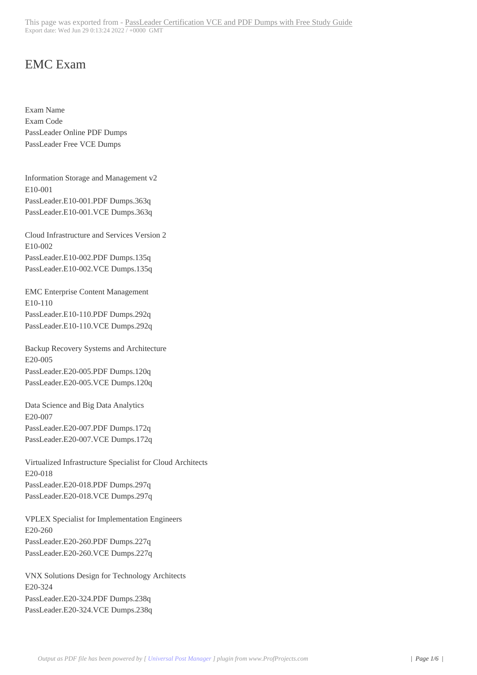## EMC Exam

Exam Name Exam Code PassLeader Online PDF Dumps PassLeader Free VCE Dumps

Information Storage and Management v2 E10-001 PassLeader.E10-001.PDF Dumps.363q PassLeader.E10-001.VCE Dumps.363q

Cloud Infrastructure and Services Version 2 E10-002 PassLeader.E10-002.PDF Dumps.135q PassLeader.E10-002.VCE Dumps.135q

EMC Enterprise Content Management E10-110 PassLeader.E10-110.PDF Dumps.292q PassLeader.E10-110.VCE Dumps.292q

Backup Recovery Systems and Architecture E20-005 PassLeader.E20-005.PDF Dumps.120q PassLeader.E20-005.VCE Dumps.120q

Data Science and Big Data Analytics E20-007 PassLeader.E20-007.PDF Dumps.172q PassLeader.E20-007.VCE Dumps.172q

Virtualized Infrastructure Specialist for Cloud Architects E20-018 PassLeader.E20-018.PDF Dumps.297q PassLeader.E20-018.VCE Dumps.297q

VPLEX Specialist for Implementation Engineers E20-260 PassLeader.E20-260.PDF Dumps.227q PassLeader.E20-260.VCE Dumps.227q

VNX Solutions Design for Technology Architects E20-324 PassLeader.E20-324.PDF Dumps.238q PassLeader.E20-324.VCE Dumps.238q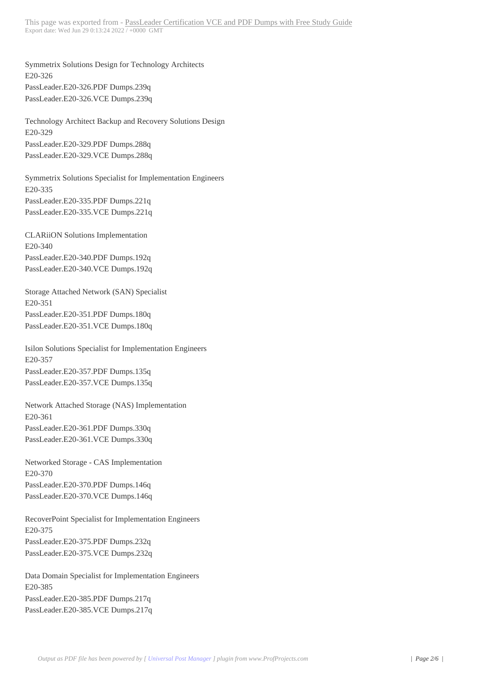Symmetrix Solutions Design f[or Technology Architects](http://www.640-721.org/?page_id=3826) E20-326 PassLeader.E20-326.PDF Dumps.239q PassLeader.E20-326.VCE Dumps.239q

Technology Architect Backup and Recovery Solutions Design E20-329 PassLeader.E20-329.PDF Dumps.288q PassLeader.E20-329.VCE Dumps.288q

Symmetrix Solutions Specialist for Implementation Engineers E20-335 PassLeader.E20-335.PDF Dumps.221q PassLeader.E20-335.VCE Dumps.221q

CLARiiON Solutions Implementation E20-340 PassLeader.E20-340.PDF Dumps.192q PassLeader.E20-340.VCE Dumps.192q

Storage Attached Network (SAN) Specialist E20-351 PassLeader.E20-351.PDF Dumps.180q PassLeader.E20-351.VCE Dumps.180q

Isilon Solutions Specialist for Implementation Engineers E20-357 PassLeader.E20-357.PDF Dumps.135q PassLeader.E20-357.VCE Dumps.135q

Network Attached Storage (NAS) Implementation E20-361 PassLeader.E20-361.PDF Dumps.330q PassLeader.E20-361.VCE Dumps.330q

Networked Storage - CAS Implementation E20-370 PassLeader.E20-370.PDF Dumps.146q PassLeader.E20-370.VCE Dumps.146q

RecoverPoint Specialist for Implementation Engineers E20-375 PassLeader.E20-375.PDF Dumps.232q PassLeader.E20-375.VCE Dumps.232q

Data Domain Specialist for Implementation Engineers E20-385 PassLeader.E20-385.PDF Dumps.217q PassLeader.E20-385.VCE Dumps.217q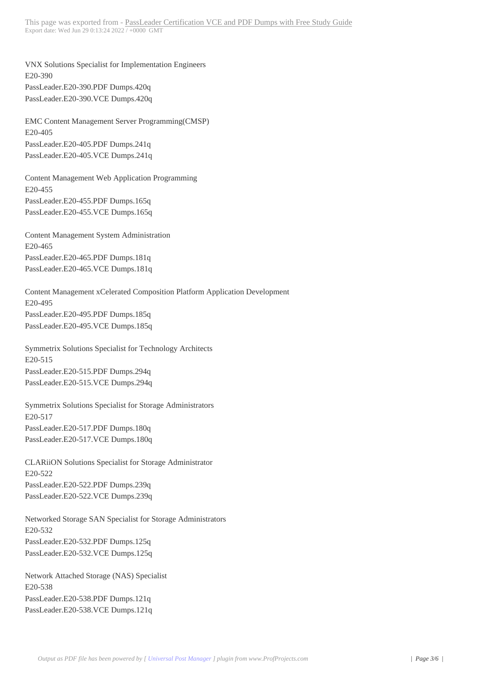VNX Solutions Specialist for I[mplementation Engineers](http://www.640-721.org/?page_id=3826) E20-390 PassLeader.E20-390.PDF Dumps.420q PassLeader.E20-390.VCE Dumps.420q

EMC Content Management Server Programming(CMSP) E20-405 PassLeader.E20-405.PDF Dumps.241q PassLeader.E20-405.VCE Dumps.241q

Content Management Web Application Programming E20-455 PassLeader.E20-455.PDF Dumps.165q PassLeader.E20-455.VCE Dumps.165q

Content Management System Administration E20-465 PassLeader.E20-465.PDF Dumps.181q PassLeader.E20-465.VCE Dumps.181q

Content Management xCelerated Composition Platform Application Development E20-495 PassLeader.E20-495.PDF Dumps.185q PassLeader.E20-495.VCE Dumps.185q

Symmetrix Solutions Specialist for Technology Architects E20-515 PassLeader.E20-515.PDF Dumps.294q PassLeader.E20-515.VCE Dumps.294q

Symmetrix Solutions Specialist for Storage Administrators E20-517 PassLeader.E20-517.PDF Dumps.180q PassLeader.E20-517.VCE Dumps.180q

CLARiiON Solutions Specialist for Storage Administrator E20-522 PassLeader.E20-522.PDF Dumps.239q PassLeader.E20-522.VCE Dumps.239q

Networked Storage SAN Specialist for Storage Administrators E20-532 PassLeader.E20-532.PDF Dumps.125q PassLeader.E20-532.VCE Dumps.125q

Network Attached Storage (NAS) Specialist E20-538 PassLeader.E20-538.PDF Dumps.121q PassLeader.E20-538.VCE Dumps.121q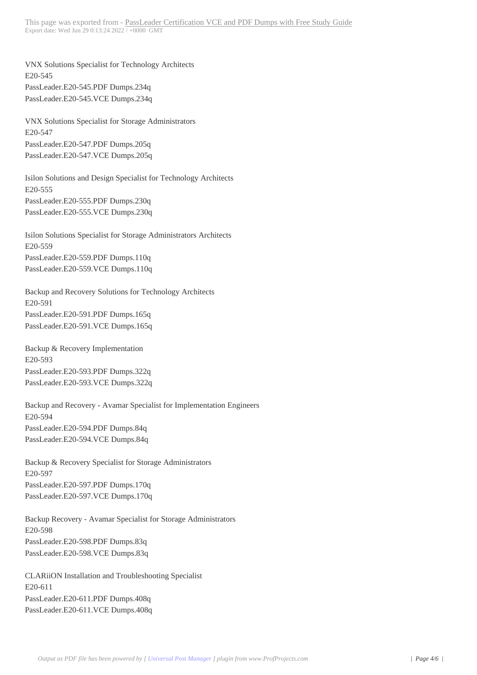VNX Solutions Specialist for [Technology Architects](http://www.640-721.org/?page_id=3826) E20-545 PassLeader.E20-545.PDF Dumps.234q PassLeader.E20-545.VCE Dumps.234q

VNX Solutions Specialist for Storage Administrators E20-547 PassLeader.E20-547.PDF Dumps.205q PassLeader.E20-547.VCE Dumps.205q

Isilon Solutions and Design Specialist for Technology Architects E20-555 PassLeader.E20-555.PDF Dumps.230q PassLeader.E20-555.VCE Dumps.230q

Isilon Solutions Specialist for Storage Administrators Architects E20-559 PassLeader.E20-559.PDF Dumps.110q PassLeader.E20-559.VCE Dumps.110q

Backup and Recovery Solutions for Technology Architects E20-591 PassLeader.E20-591.PDF Dumps.165q PassLeader.E20-591.VCE Dumps.165q

Backup & Recovery Implementation E20-593 PassLeader.E20-593.PDF Dumps.322q PassLeader.E20-593.VCE Dumps.322q

Backup and Recovery - Avamar Specialist for Implementation Engineers E20-594 PassLeader.E20-594.PDF Dumps.84q PassLeader.E20-594.VCE Dumps.84q

Backup & Recovery Specialist for Storage Administrators E20-597 PassLeader.E20-597.PDF Dumps.170q PassLeader.E20-597.VCE Dumps.170q

Backup Recovery - Avamar Specialist for Storage Administrators E20-598 PassLeader.E20-598.PDF Dumps.83q PassLeader.E20-598.VCE Dumps.83q

CLARiiON Installation and Troubleshooting Specialist E20-611 PassLeader.E20-611.PDF Dumps.408q PassLeader.E20-611.VCE Dumps.408q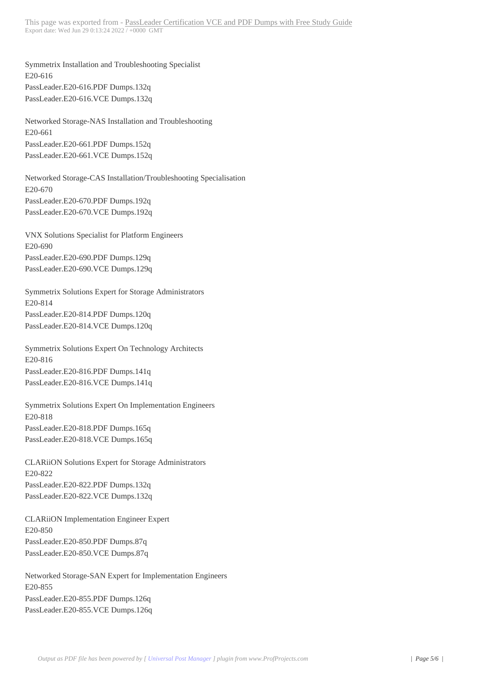Symmetrix Installation and Tr[oubleshooting Specialist](http://www.640-721.org/?page_id=3826) E20-616 PassLeader.E20-616.PDF Dumps.132q PassLeader.E20-616.VCE Dumps.132q

Networked Storage-NAS Installation and Troubleshooting E20-661 PassLeader.E20-661.PDF Dumps.152q PassLeader.E20-661.VCE Dumps.152q

Networked Storage-CAS Installation/Troubleshooting Specialisation E20-670 PassLeader.E20-670.PDF Dumps.192q PassLeader.E20-670.VCE Dumps.192q

VNX Solutions Specialist for Platform Engineers E20-690 PassLeader.E20-690.PDF Dumps.129q PassLeader.E20-690.VCE Dumps.129q

Symmetrix Solutions Expert for Storage Administrators E20-814 PassLeader.E20-814.PDF Dumps.120q PassLeader.E20-814.VCE Dumps.120q

Symmetrix Solutions Expert On Technology Architects E20-816 PassLeader.E20-816.PDF Dumps.141q PassLeader.E20-816.VCE Dumps.141q

Symmetrix Solutions Expert On Implementation Engineers E20-818 PassLeader.E20-818.PDF Dumps.165q PassLeader.E20-818.VCE Dumps.165q

CLARiiON Solutions Expert for Storage Administrators E20-822 PassLeader.E20-822.PDF Dumps.132q PassLeader.E20-822.VCE Dumps.132q

CLARiiON Implementation Engineer Expert E20-850 PassLeader.E20-850.PDF Dumps.87q PassLeader.E20-850.VCE Dumps.87q

Networked Storage-SAN Expert for Implementation Engineers E20-855 PassLeader.E20-855.PDF Dumps.126q PassLeader.E20-855.VCE Dumps.126q